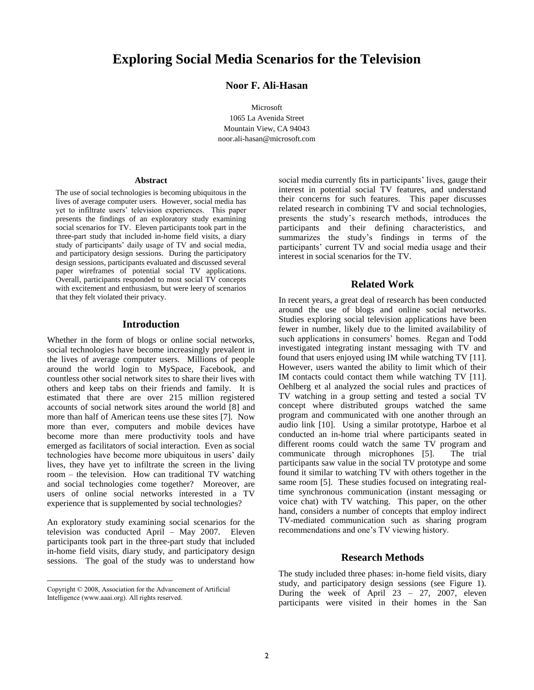# **Exploring Social Media Scenarios for the Television**

## **Noor F. Ali-Hasan**

Microsoft

1065 La Avenida Street Mountain View, CA 94043 noor.ali-hasan@microsoft.com

#### **Abstract**

The use of social technologies is becoming ubiquitous in the lives of average computer users. However, social media has yet to infiltrate users' television experiences. This paper presents the findings of an exploratory study examining social scenarios for TV. Eleven participants took part in the three-part study that included in-home field visits, a diary study of participants' daily usage of TV and social media, and participatory design sessions. During the participatory design sessions, participants evaluated and discussed several paper wireframes of potential social TV applications. Overall, participants responded to most social TV concepts with excitement and enthusiasm, but were leery of scenarios that they felt violated their privacy.

#### **Introduction**

Whether in the form of blogs or online social networks, social technologies have become increasingly prevalent in the lives of average computer users. Millions of people around the world login to MySpace, Facebook, and countless other social network sites to share their lives with others and keep tabs on their friends and family. It is estimated that there are over 215 million registered accounts of social network sites around the world [8] and more than half of American teens use these sites [7]. Now more than ever, computers and mobile devices have become more than mere productivity tools and have emerged as facilitators of social interaction. Even as social technologies have become more ubiquitous in users" daily lives, they have yet to infiltrate the screen in the living room – the television. How can traditional TV watching and social technologies come together? Moreover, are users of online social networks interested in a TV experience that is supplemented by social technologies?

An exploratory study examining social scenarios for the television was conducted April – May 2007. Eleven participants took part in the three-part study that included in-home field visits, diary study, and participatory design sessions. The goal of the study was to understand how

 $\overline{a}$ 

social media currently fits in participants' lives, gauge their interest in potential social TV features, and understand their concerns for such features. This paper discusses related research in combining TV and social technologies, presents the study"s research methods, introduces the participants and their defining characteristics, and summarizes the study"s findings in terms of the participants' current TV and social media usage and their interest in social scenarios for the TV.

#### **Related Work**

In recent years, a great deal of research has been conducted around the use of blogs and online social networks. Studies exploring social television applications have been fewer in number, likely due to the limited availability of such applications in consumers' homes. Regan and Todd investigated integrating instant messaging with TV and found that users enjoyed using IM while watching TV [11]. However, users wanted the ability to limit which of their IM contacts could contact them while watching TV [11]. Oehlberg et al analyzed the social rules and practices of TV watching in a group setting and tested a social TV concept where distributed groups watched the same program and communicated with one another through an audio link [10]. Using a similar prototype, Harboe et al conducted an in-home trial where participants seated in different rooms could watch the same TV program and communicate through microphones [5]. The trial participants saw value in the social TV prototype and some found it similar to watching TV with others together in the same room [5]. These studies focused on integrating realtime synchronous communication (instant messaging or voice chat) with TV watching. This paper, on the other hand, considers a number of concepts that employ indirect TV-mediated communication such as sharing program recommendations and one"s TV viewing history.

## **Research Methods**

The study included three phases: in-home field visits, diary study, and participatory design sessions (see Figure 1). During the week of April 23 – 27, 2007, eleven participants were visited in their homes in the San

Copyright © 2008, Association for the Advancement of Artificial Intelligence (www.aaai.org). All rights reserved.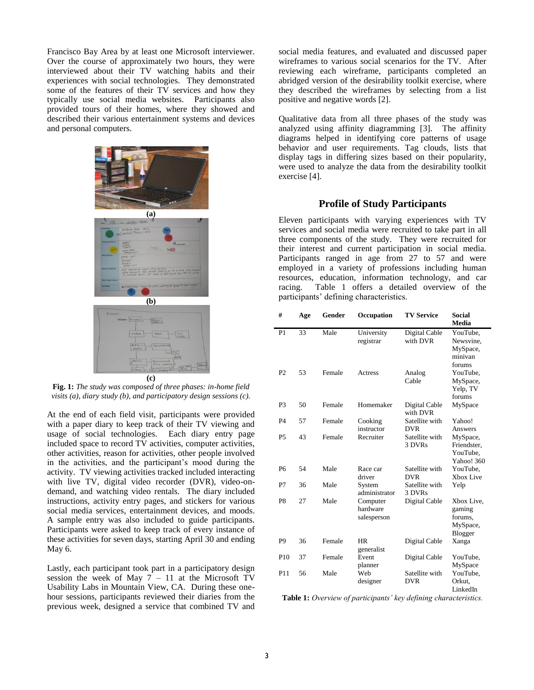Francisco Bay Area by at least one Microsoft interviewer. Over the course of approximately two hours, they were interviewed about their TV watching habits and their experiences with social technologies. They demonstrated some of the features of their TV services and how they typically use social media websites. Participants also provided tours of their homes, where they showed and described their various entertainment systems and devices and personal computers.



**Fig. 1:** *The study was composed of three phases: in-home field visits (a), diary study (b), and participatory design sessions (c).*

At the end of each field visit, participants were provided with a paper diary to keep track of their TV viewing and usage of social technologies. Each diary entry page included space to record TV activities, computer activities, other activities, reason for activities, other people involved in the activities, and the participant's mood during the activity. TV viewing activities tracked included interacting with live TV, digital video recorder (DVR), video-ondemand, and watching video rentals. The diary included instructions, activity entry pages, and stickers for various social media services, entertainment devices, and moods. A sample entry was also included to guide participants. Participants were asked to keep track of every instance of these activities for seven days, starting April 30 and ending May 6.

Lastly, each participant took part in a participatory design session the week of May  $7 - 11$  at the Microsoft TV Usability Labs in Mountain View, CA. During these onehour sessions, participants reviewed their diaries from the previous week, designed a service that combined TV and

social media features, and evaluated and discussed paper wireframes to various social scenarios for the TV. After reviewing each wireframe, participants completed an abridged version of the desirability toolkit exercise, where they described the wireframes by selecting from a list positive and negative words [2].

Qualitative data from all three phases of the study was analyzed using affinity diagramming [3]. The affinity diagrams helped in identifying core patterns of usage behavior and user requirements. Tag clouds, lists that display tags in differing sizes based on their popularity, were used to analyze the data from the desirability toolkit exercise [4].

## **Profile of Study Participants**

Eleven participants with varying experiences with TV services and social media were recruited to take part in all three components of the study. They were recruited for their interest and current participation in social media. Participants ranged in age from 27 to 57 and were employed in a variety of professions including human resources, education, information technology, and car racing. Table 1 offers a detailed overview of the participants" defining characteristics.

| #               | Age | Gender | Occupation              | <b>TV Service</b>         | <b>Social</b><br><b>Media</b> |
|-----------------|-----|--------|-------------------------|---------------------------|-------------------------------|
| P <sub>1</sub>  | 33  | Male   | University              | Digital Cable             | YouTube,                      |
|                 |     |        | registrar               | with DVR                  | Newsvine,                     |
|                 |     |        |                         |                           | MySpace,                      |
|                 |     |        |                         |                           | minivan                       |
|                 |     |        |                         |                           | forums                        |
| P <sub>2</sub>  | 53  | Female | Actress                 | Analog                    | YouTube,                      |
|                 |     |        |                         | Cable                     | MySpace,                      |
|                 |     |        |                         |                           | Yelp, TV                      |
|                 |     |        |                         |                           | forums                        |
| P <sub>3</sub>  | 50  | Female | Homemaker               | Digital Cable<br>with DVR | MySpace                       |
| P <sub>4</sub>  | 57  | Female | Cooking                 | Satellite with            | Yahoo!                        |
|                 |     |        | instructor              | <b>DVR</b>                | Answers                       |
| P <sub>5</sub>  | 43  | Female | Recruiter               | Satellite with            | MySpace,                      |
|                 |     |        |                         | 3 DVRs                    | Friendster.                   |
|                 |     |        |                         |                           | YouTube,                      |
|                 |     |        |                         |                           | Yahoo! 360                    |
| P <sub>6</sub>  | 54  | Male   | Race car                | Satellite with            | YouTube,                      |
|                 |     |        | driver                  | <b>DVR</b>                | Xbox Live                     |
| P7              | 36  | Male   | System                  | Satellite with            | Yelp                          |
|                 |     |        | administrator           | 3 DVRs                    |                               |
| P8              | 27  | Male   | Computer                | Digital Cable             | Xbox Live,                    |
|                 |     |        | hardware<br>salesperson |                           | gaming                        |
|                 |     |        |                         |                           | forums,                       |
|                 |     |        |                         |                           | MySpace,                      |
|                 |     |        |                         |                           | Blogger                       |
| P <sub>9</sub>  | 36  | Female | <b>HR</b><br>generalist | Digital Cable             | Xanga                         |
| P <sub>10</sub> | 37  | Female | Event                   | Digital Cable             | YouTube,                      |
|                 |     |        | planner                 |                           | MySpace                       |
| P <sub>11</sub> | 56  | Male   | Web                     | Satellite with            | YouTube,                      |
|                 |     |        | designer                | <b>DVR</b>                | Orkut.                        |
|                 |     |        |                         |                           | LinkedIn                      |

**Table 1:** *Overview of participants' key defining characteristics.*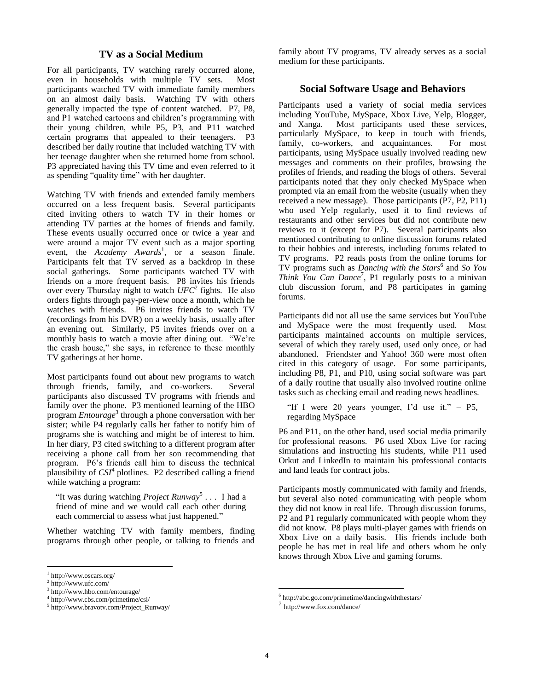## **TV as a Social Medium**

For all participants, TV watching rarely occurred alone, even in households with multiple TV sets. Most participants watched TV with immediate family members on an almost daily basis. Watching TV with others generally impacted the type of content watched. P7, P8, and P1 watched cartoons and children"s programming with their young children, while P5, P3, and P11 watched certain programs that appealed to their teenagers. P3 described her daily routine that included watching TV with her teenage daughter when she returned home from school. P3 appreciated having this TV time and even referred to it as spending "quality time" with her daughter.

Watching TV with friends and extended family members occurred on a less frequent basis. Several participants cited inviting others to watch TV in their homes or attending TV parties at the homes of friends and family. These events usually occurred once or twice a year and were around a major TV event such as a major sporting event, the *Academy Awards*<sup>1</sup>, or a season finale. Participants felt that TV served as a backdrop in these social gatherings. Some participants watched TV with friends on a more frequent basis. P8 invites his friends over every Thursday night to watch *UFC*<sup>2</sup> fights. He also orders fights through pay-per-view once a month, which he watches with friends. P6 invites friends to watch TV (recordings from his DVR) on a weekly basis, usually after an evening out. Similarly, P5 invites friends over on a monthly basis to watch a movie after dining out. "We"re the crash house," she says, in reference to these monthly TV gatherings at her home.

Most participants found out about new programs to watch through friends, family, and co-workers. Several participants also discussed TV programs with friends and family over the phone. P3 mentioned learning of the HBO program *Entourage*<sup>3</sup> through a phone conversation with her sister; while P4 regularly calls her father to notify him of programs she is watching and might be of interest to him. In her diary, P3 cited switching to a different program after receiving a phone call from her son recommending that program. P6"s friends call him to discuss the technical plausibility of  $CSI<sup>4</sup>$  plotlines. P2 described calling a friend while watching a program:

"It was during watching *Project Runway*<sup>5</sup> . . . I had a friend of mine and we would call each other during each commercial to assess what just happened."

Whether watching TV with family members, finding programs through other people, or talking to friends and

 $\overline{a}$ 

family about TV programs, TV already serves as a social medium for these participants.

## **Social Software Usage and Behaviors**

Participants used a variety of social media services including YouTube, MySpace, Xbox Live, Yelp, Blogger, and Xanga. Most participants used these services, particularly MySpace, to keep in touch with friends, family, co-workers, and acquaintances. For most participants, using MySpace usually involved reading new messages and comments on their profiles, browsing the profiles of friends, and reading the blogs of others. Several participants noted that they only checked MySpace when prompted via an email from the website (usually when they received a new message). Those participants (P7, P2, P11) who used Yelp regularly, used it to find reviews of restaurants and other services but did not contribute new reviews to it (except for P7). Several participants also mentioned contributing to online discussion forums related to their hobbies and interests, including forums related to TV programs. P2 reads posts from the online forums for TV programs such as *Dancing with the Stars*<sup>6</sup> and *So You Think You Can Dance*<sup>7</sup> , P1 regularly posts to a minivan club discussion forum, and P8 participates in gaming forums.

Participants did not all use the same services but YouTube and MySpace were the most frequently used. Most participants maintained accounts on multiple services, several of which they rarely used, used only once, or had abandoned. Friendster and Yahoo! 360 were most often cited in this category of usage. For some participants, including P8, P1, and P10, using social software was part of a daily routine that usually also involved routine online tasks such as checking email and reading news headlines.

"If I were 20 years younger, I'd use it."  $-$  P5, regarding MySpace

P6 and P11, on the other hand, used social media primarily for professional reasons. P6 used Xbox Live for racing simulations and instructing his students, while P11 used Orkut and LinkedIn to maintain his professional contacts and land leads for contract jobs.

Participants mostly communicated with family and friends, but several also noted communicating with people whom they did not know in real life. Through discussion forums, P2 and P1 regularly communicated with people whom they did not know. P8 plays multi-player games with friends on Xbox Live on a daily basis. His friends include both people he has met in real life and others whom he only knows through Xbox Live and gaming forums.

 $\overline{a}$ 

<sup>1</sup> http://www.oscars.org/

<sup>2</sup> http://www.ufc.com/

<sup>3</sup> http://www.hbo.com/entourage/

<sup>4</sup> http://www.cbs.com/primetime/csi/

<sup>5</sup> http://www.bravotv.com/Project\_Runway/

<sup>6</sup> http://abc.go.com/primetime/dancingwiththestars/

<sup>7</sup> http://www.fox.com/dance/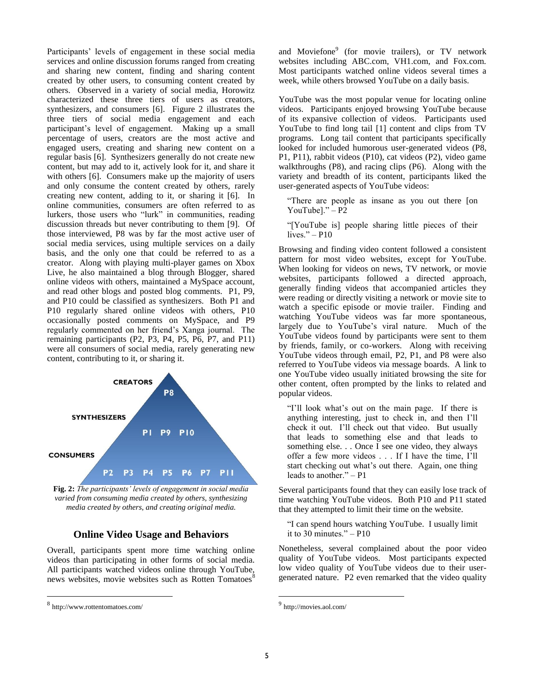Participants' levels of engagement in these social media services and online discussion forums ranged from creating and sharing new content, finding and sharing content created by other users, to consuming content created by others. Observed in a variety of social media, Horowitz characterized these three tiers of users as creators, synthesizers, and consumers [6]. Figure 2 illustrates the three tiers of social media engagement and each participant"s level of engagement. Making up a small percentage of users, creators are the most active and engaged users, creating and sharing new content on a regular basis [6]. Synthesizers generally do not create new content, but may add to it, actively look for it, and share it with others [6]. Consumers make up the majority of users and only consume the content created by others, rarely creating new content, adding to it, or sharing it [6]. In online communities, consumers are often referred to as lurkers, those users who "lurk" in communities, reading discussion threads but never contributing to them [9]. Of those interviewed, P8 was by far the most active user of social media services, using multiple services on a daily basis, and the only one that could be referred to as a creator. Along with playing multi-player games on Xbox Live, he also maintained a blog through Blogger, shared online videos with others, maintained a MySpace account, and read other blogs and posted blog comments. P1, P9, and P10 could be classified as synthesizers. Both P1 and P10 regularly shared online videos with others, P10 occasionally posted comments on MySpace, and P9 regularly commented on her friend"s Xanga journal. The remaining participants (P2, P3, P4, P5, P6, P7, and P11) were all consumers of social media, rarely generating new content, contributing to it, or sharing it.



**Fig. 2:** *The participants' levels of engagement in social media varied from consuming media created by others, synthesizing media created by others, and creating original media.*

#### **Online Video Usage and Behaviors**

Overall, participants spent more time watching online videos than participating in other forms of social media. All participants watched videos online through YouTube, news websites, movie websites such as Rotten Tomatoes<sup>8</sup>

 $\overline{a}$ 

and Moviefone<sup>9</sup> (for movie trailers), or TV network websites including ABC.com, VH1.com, and Fox.com. Most participants watched online videos several times a week, while others browsed YouTube on a daily basis.

YouTube was the most popular venue for locating online videos. Participants enjoyed browsing YouTube because of its expansive collection of videos. Participants used YouTube to find long tail [1] content and clips from TV programs. Long tail content that participants specifically looked for included humorous user-generated videos (P8, P1, P11), rabbit videos (P10), cat videos (P2), video game walkthroughs (P8), and racing clips (P6). Along with the variety and breadth of its content, participants liked the user-generated aspects of YouTube videos:

"There are people as insane as you out there [on YouTubel." $- P2$ 

"[YouTube is] people sharing little pieces of their lives." – P10

Browsing and finding video content followed a consistent pattern for most video websites, except for YouTube. When looking for videos on news, TV network, or movie websites, participants followed a directed approach, generally finding videos that accompanied articles they were reading or directly visiting a network or movie site to watch a specific episode or movie trailer. Finding and watching YouTube videos was far more spontaneous, largely due to YouTube's viral nature. Much of the YouTube videos found by participants were sent to them by friends, family, or co-workers. Along with receiving YouTube videos through email, P2, P1, and P8 were also referred to YouTube videos via message boards. A link to one YouTube video usually initiated browsing the site for other content, often prompted by the links to related and popular videos.

"I"ll look what"s out on the main page. If there is anything interesting, just to check in, and then I"ll check it out. I"ll check out that video. But usually that leads to something else and that leads to something else. . . Once I see one video, they always offer a few more videos . . . If I have the time, I"ll start checking out what's out there. Again, one thing leads to another." – P1

Several participants found that they can easily lose track of time watching YouTube videos. Both P10 and P11 stated that they attempted to limit their time on the website.

"I can spend hours watching YouTube. I usually limit it to 30 minutes." $-$  P10

Nonetheless, several complained about the poor video quality of YouTube videos. Most participants expected low video quality of YouTube videos due to their usergenerated nature. P2 even remarked that the video quality

 $\overline{a}$ 

<sup>8</sup> http://www.rottentomatoes.com/

<sup>9</sup> http://movies.aol.com/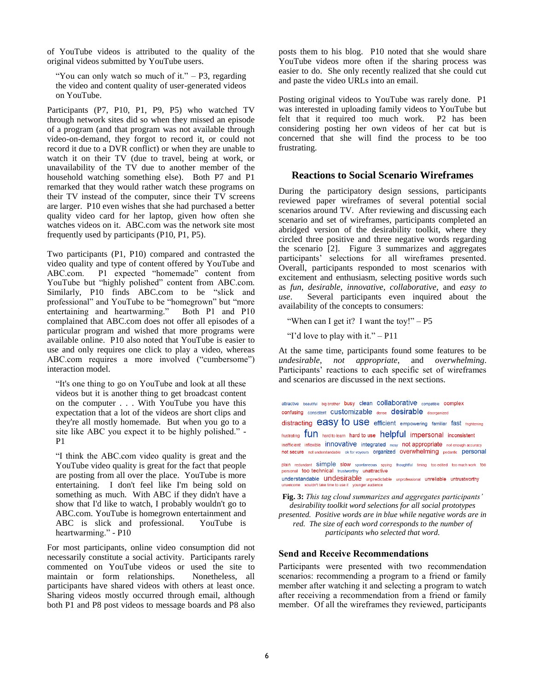of YouTube videos is attributed to the quality of the original videos submitted by YouTube users.

"You can only watch so much of it."  $- P3$ , regarding the video and content quality of user-generated videos on YouTube.

Participants (P7, P10, P1, P9, P5) who watched TV through network sites did so when they missed an episode of a program (and that program was not available through video-on-demand, they forgot to record it, or could not record it due to a DVR conflict) or when they are unable to watch it on their TV (due to travel, being at work, or unavailability of the TV due to another member of the household watching something else). Both P7 and P1 remarked that they would rather watch these programs on their TV instead of the computer, since their TV screens are larger. P10 even wishes that she had purchased a better quality video card for her laptop, given how often she watches videos on it. ABC.com was the network site most frequently used by participants (P10, P1, P5).

Two participants (P1, P10) compared and contrasted the video quality and type of content offered by YouTube and ABC.com. P1 expected "homemade" content from YouTube but "highly polished" content from ABC.com. Similarly, P10 finds ABC.com to be "slick and professional" and YouTube to be "homegrown" but "more<br>entertaining and heartwarming." Both P1 and P10 entertaining and heartwarming." complained that ABC.com does not offer all episodes of a particular program and wished that more programs were available online. P10 also noted that YouTube is easier to use and only requires one click to play a video, whereas ABC.com requires a more involved ("cumbersome") interaction model.

"It's one thing to go on YouTube and look at all these videos but it is another thing to get broadcast content on the computer . . . With YouTube you have this expectation that a lot of the videos are short clips and they're all mostly homemade. But when you go to a site like ABC you expect it to be highly polished." - P1

"I think the ABC.com video quality is great and the YouTube video quality is great for the fact that people are posting from all over the place. YouTube is more entertaining. I don't feel like I'm being sold on something as much. With ABC if they didn't have a show that I'd like to watch, I probably wouldn't go to ABC.com. YouTube is homegrown entertainment and ABC is slick and professional. YouTube is heartwarming." - P10

For most participants, online video consumption did not necessarily constitute a social activity. Participants rarely commented on YouTube videos or used the site to maintain or form relationships. Nonetheless, all participants have shared videos with others at least once. Sharing videos mostly occurred through email, although both P1 and P8 post videos to message boards and P8 also

posts them to his blog. P10 noted that she would share YouTube videos more often if the sharing process was easier to do. She only recently realized that she could cut and paste the video URLs into an email.

Posting original videos to YouTube was rarely done. P1 was interested in uploading family videos to YouTube but felt that it required too much work. P2 has been considering posting her own videos of her cat but is concerned that she will find the process to be too frustrating.

## **Reactions to Social Scenario Wireframes**

During the participatory design sessions, participants reviewed paper wireframes of several potential social scenarios around TV. After reviewing and discussing each scenario and set of wireframes, participants completed an abridged version of the desirability toolkit, where they circled three positive and three negative words regarding the scenario [2]. Figure 3 summarizes and aggregates participants" selections for all wireframes presented. Overall, participants responded to most scenarios with excitement and enthusiasm, selecting positive words such as *fun*, *desirable*, *innovative*, *collaborative*, and *easy to use*. Several participants even inquired about the availability of the concepts to consumers:

"When can I get it? I want the toy!"  $- P5$ 

"I'd love to play with it."  $- P11$ 

At the same time, participants found some features to be *undesirable*, *not appropriate*, and *overwhelming*. Participants' reactions to each specific set of wireframes and scenarios are discussed in the next sections.

attractive beautiful big brother busy clean COllaborative compatible complex confusing consistent CUStomizable dense desirable disorganized distracting easy to use efficient empowering familiar fast mightening frustrating fun hard to learn hard to use helpful impersonal inconsistent inefficient inflexible *innovative* integrated nosy not appropriate not enough accuracy not secure not understandable ok for voyeurs organized overwhelming pedantic personal plain redundant simple slow spontaneous spying thoughtful timing too-edited too-much-work too personal too technical trustworthy unattractive understandable **undesirable** unpredictable unprofessional unreliable untrustworthy elcome wouldn't take time to use it younger audience **Fig. 3:** *This tag cloud summarizes and aggregates participants' desirability toolkit word selections for all social prototypes* 

*presented. Positive words are in blue while negative words are in red. The size of each word corresponds to the number of participants who selected that word.*

## **Send and Receive Recommendations**

Participants were presented with two recommendation scenarios: recommending a program to a friend or family member after watching it and selecting a program to watch after receiving a recommendation from a friend or family member. Of all the wireframes they reviewed, participants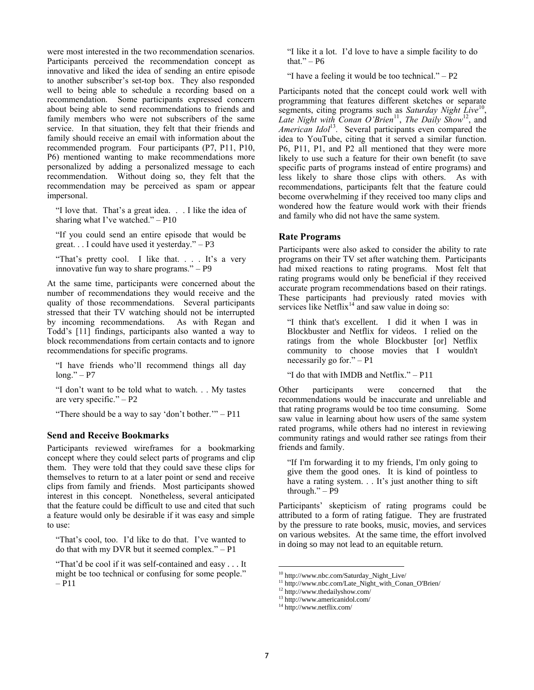were most interested in the two recommendation scenarios. Participants perceived the recommendation concept as innovative and liked the idea of sending an entire episode to another subscriber's set-top box. They also responded well to being able to schedule a recording based on a recommendation. Some participants expressed concern about being able to send recommendations to friends and family members who were not subscribers of the same service. In that situation, they felt that their friends and family should receive an email with information about the recommended program. Four participants (P7, P11, P10, P6) mentioned wanting to make recommendations more personalized by adding a personalized message to each recommendation. Without doing so, they felt that the recommendation may be perceived as spam or appear impersonal.

"I love that. That"s a great idea. . . I like the idea of sharing what I've watched."  $- P10$ 

"If you could send an entire episode that would be great. . . I could have used it yesterday." – P3

"That's pretty cool. I like that.... It's a very innovative fun way to share programs." – P9

At the same time, participants were concerned about the number of recommendations they would receive and the quality of those recommendations. Several participants stressed that their TV watching should not be interrupted by incoming recommendations. As with Regan and Todd's [11] findings, participants also wanted a way to block recommendations from certain contacts and to ignore recommendations for specific programs.

"I have friends who"ll recommend things all day  $long." - P7$ 

"I don"t want to be told what to watch. . . My tastes are very specific." – P2

"There should be a way to say "don"t bother."" – P11

#### **Send and Receive Bookmarks**

Participants reviewed wireframes for a bookmarking concept where they could select parts of programs and clip them. They were told that they could save these clips for themselves to return to at a later point or send and receive clips from family and friends. Most participants showed interest in this concept. Nonetheless, several anticipated that the feature could be difficult to use and cited that such a feature would only be desirable if it was easy and simple to use:

"That"s cool, too. I"d like to do that. I"ve wanted to do that with my DVR but it seemed complex." – P1

"That"d be cool if it was self-contained and easy . . . It might be too technical or confusing for some people." – P11

"I like it a lot. I"d love to have a simple facility to do that." $- P6$ 

"I have a feeling it would be too technical."  $- P2$ 

Participants noted that the concept could work well with programming that features different sketches or separate segments, citing programs such as *Saturday Night Live*<sup>10</sup>, Late Night with Conan O'Brien<sup>11</sup>, The Daily Show<sup>12</sup>, and *American Idol<sup>13</sup>*. Several participants even compared the idea to YouTube, citing that it served a similar function. P6, P11, P1, and P2 all mentioned that they were more likely to use such a feature for their own benefit (to save specific parts of programs instead of entire programs) and less likely to share those clips with others. As with recommendations, participants felt that the feature could become overwhelming if they received too many clips and wondered how the feature would work with their friends and family who did not have the same system.

#### **Rate Programs**

Participants were also asked to consider the ability to rate programs on their TV set after watching them. Participants had mixed reactions to rating programs. Most felt that rating programs would only be beneficial if they received accurate program recommendations based on their ratings. These participants had previously rated movies with services like  $Netflux<sup>14</sup>$  and saw value in doing so:

"I think that's excellent. I did it when I was in Blockbuster and Netflix for videos. I relied on the ratings from the whole Blockbuster [or] Netflix community to choose movies that I wouldn't necessarily go for." – P1

"I do that with IMDB and Netflix." – P11

Other participants were concerned that the recommendations would be inaccurate and unreliable and that rating programs would be too time consuming. Some saw value in learning about how users of the same system rated programs, while others had no interest in reviewing community ratings and would rather see ratings from their friends and family.

"If I'm forwarding it to my friends, I'm only going to give them the good ones. It is kind of pointless to have a rating system. . . It's just another thing to sift through." – P9

Participants" skepticism of rating programs could be attributed to a form of rating fatigue. They are frustrated by the pressure to rate books, music, movies, and services on various websites. At the same time, the effort involved in doing so may not lead to an equitable return.

 $\overline{a}$ 

<sup>&</sup>lt;sup>10</sup> http://www.nbc.com/Saturday\_Night\_Live/

<sup>11</sup> http://www.nbc.com/Late\_Night\_with\_Conan\_O'Brien/

<sup>12</sup> http://www.thedailyshow.com/

<sup>13</sup> http://www.americanidol.com/

<sup>14</sup> http://www.netflix.com/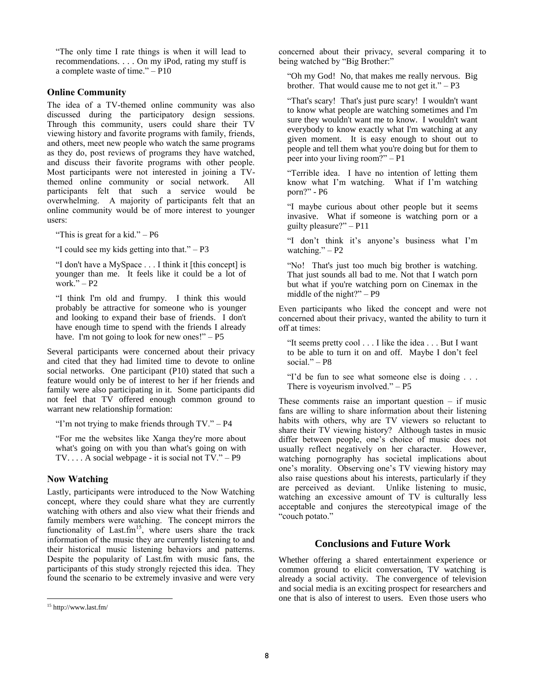"The only time I rate things is when it will lead to recommendations. . . . On my iPod, rating my stuff is a complete waste of time." – P10

## **Online Community**

The idea of a TV-themed online community was also discussed during the participatory design sessions. Through this community, users could share their TV viewing history and favorite programs with family, friends, and others, meet new people who watch the same programs as they do, post reviews of programs they have watched, and discuss their favorite programs with other people. Most participants were not interested in joining a TVthemed online community or social network. All participants felt that such a service would be overwhelming. A majority of participants felt that an online community would be of more interest to younger users:

"This is great for a kid."  $- P6$ 

"I could see my kids getting into that."  $- P3$ 

"I don't have a MySpace . . . I think it [this concept] is younger than me. It feels like it could be a lot of work." $- P2$ 

"I think I'm old and frumpy. I think this would probably be attractive for someone who is younger and looking to expand their base of friends. I don't have enough time to spend with the friends I already have. I'm not going to look for new ones!" – P5

Several participants were concerned about their privacy and cited that they had limited time to devote to online social networks. One participant (P10) stated that such a feature would only be of interest to her if her friends and family were also participating in it. Some participants did not feel that TV offered enough common ground to warrant new relationship formation:

"I'm not trying to make friends through  $TV$ ." – P4

"For me the websites like Xanga they're more about what's going on with you than what's going on with  $TV. \ldots$  A social webpage - it is social not  $TV.$ " – P9

#### **Now Watching**

Lastly, participants were introduced to the Now Watching concept, where they could share what they are currently watching with others and also view what their friends and family members were watching. The concept mirrors the functionality of Last.fm<sup>15</sup>, where users share the track information of the music they are currently listening to and their historical music listening behaviors and patterns. Despite the popularity of Last.fm with music fans, the participants of this study strongly rejected this idea. They found the scenario to be extremely invasive and were very

 $\overline{a}$ 

concerned about their privacy, several comparing it to being watched by "Big Brother:"

"Oh my God! No, that makes me really nervous. Big brother. That would cause me to not get it." $-P3$ 

"That's scary! That's just pure scary! I wouldn't want to know what people are watching sometimes and I'm sure they wouldn't want me to know. I wouldn't want everybody to know exactly what I'm watching at any given moment. It is easy enough to shout out to people and tell them what you're doing but for them to peer into your living room?" – P1

"Terrible idea. I have no intention of letting them know what I"m watching. What if I"m watching porn?" - P6

"I maybe curious about other people but it seems invasive. What if someone is watching porn or a guilty pleasure?" – P11

"I don"t think it"s anyone"s business what I"m watching." $- P2$ 

"No! That's just too much big brother is watching. That just sounds all bad to me. Not that I watch porn but what if you're watching porn on Cinemax in the middle of the night?" – P9

Even participants who liked the concept and were not concerned about their privacy, wanted the ability to turn it off at times:

"It seems pretty cool . . . I like the idea . . . But I want to be able to turn it on and off. Maybe I don"t feel social." –  $P8$ 

"I"d be fun to see what someone else is doing . . . There is voyeurism involved."  $- P5$ 

These comments raise an important question  $-$  if music fans are willing to share information about their listening habits with others, why are TV viewers so reluctant to share their TV viewing history? Although tastes in music differ between people, one's choice of music does not usually reflect negatively on her character. However, watching pornography has societal implications about one's morality. Observing one's TV viewing history may also raise questions about his interests, particularly if they are perceived as deviant. Unlike listening to music, watching an excessive amount of TV is culturally less acceptable and conjures the stereotypical image of the "couch potato."

## **Conclusions and Future Work**

Whether offering a shared entertainment experience or common ground to elicit conversation, TV watching is already a social activity. The convergence of television and social media is an exciting prospect for researchers and one that is also of interest to users. Even those users who

<sup>15</sup> http://www.last.fm/